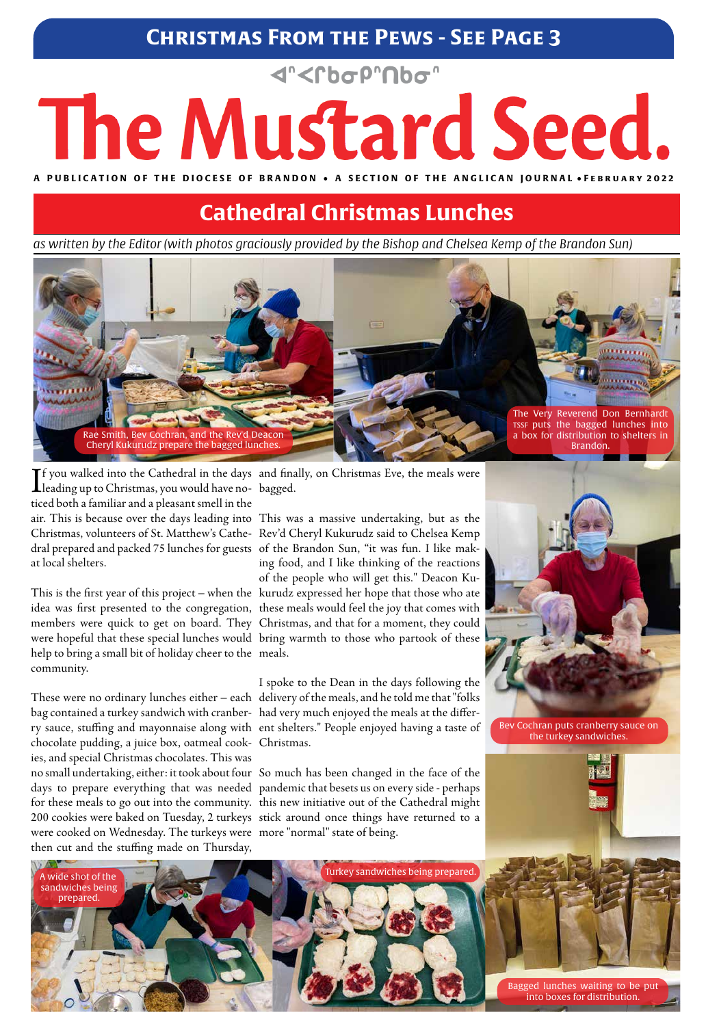#### **Christmas From the Pews - See Page 3**

# **<rbop nbo** The Mustard Seed.

A PUBLICATION OF THE DIOCESE OF BRANDON • A SECTION OF THE ANGLICAN JOURNAL • FEBRUARY 2022

*as written by the Editor (with photos graciously provided by the Bishop and Chelsea Kemp of the Brandon Sun)*

### **Cathedral Christmas Lunches**

If you walked into the Cathedral in the days<br>leading up to Christmas, you would have noleading up to Christmas, you would have noticed both a familiar and a pleasant smell in the air. This is because over the days leading into This was a massive undertaking, but as the dral prepared and packed 75 lunches for guests of the Brandon Sun, "it was fun. I like makat local shelters.

help to bring a small bit of holiday cheer to the meals. community.

chocolate pudding, a juice box, oatmeal cook-Christmas. ies, and special Christmas chocolates. This was

Christmas, volunteers of St. Matthew's Cathe-Rev'd Cheryl Kukurudz said to Chelsea Kemp This is the first year of this project – when the kurudz expressed her hope that those who ate idea was first presented to the congregation, these meals would feel the joy that comes with members were quick to get on board. They Christmas, and that for a moment, they could were hopeful that these special lunches would bring warmth to those who partook of these ing food, and I like thinking of the reactions of the people who will get this." Deacon Ku-

no small undertaking, either: it took about four So much has been changed in the face of the days to prepare everything that was needed pandemic that besets us on every side - perhaps for these meals to go out into the community. this new initiative out of the Cathedral might 200 cookies were baked on Tuesday, 2 turkeys stick around once things have returned to a were cooked on Wednesday. The turkeys were more "normal" state of being. then cut and the stuffing made on Thursday,



These were no ordinary lunches either – each delivery of the meals, and he told me that "folks bag contained a turkey sandwich with cranber-had very much enjoyed the meals at the differry sauce, stuffing and mayonnaise along with ent shelters." People enjoyed having a taste of I spoke to the Dean in the days following the

and finally, on Christmas Eve, the meals were bagged.



Bev Cochran puts cranberry sauce on the turkey sandwiches.



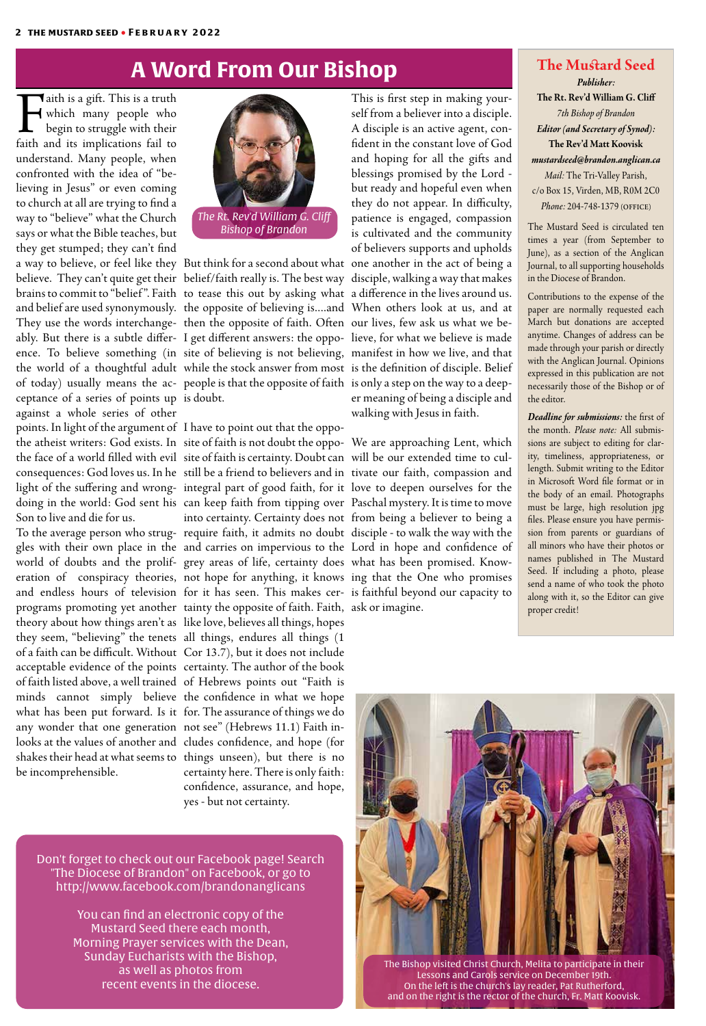**Faith is a gift.** This is a truth<br>which many people who<br>begin to struggle with their<br>faith and its implications fail to which many people who begin to struggle with their faith and its implications fail to understand. Many people, when confronted with the idea of "believing in Jesus" or even coming to church at all are trying to find a way to "believe" what the Church says or what the Bible teaches, but they get stumped; they can't find a way to believe, or feel like they But think for a second about what one another in the act of being a believe. They can't quite get their belief/faith really is. The best way disciple, walking a way that makes brains to commit to "belief". Faith to tease this out by asking what a difference in the lives around us. and belief are used synonymously. the opposite of believing is....and When others look at us, and at They use the words interchange- then the opposite of faith. Often our lives, few ask us what we beably. But there is a subtle differ-I get different answers: the oppo-lieve, for what we believe is made ence. To believe something (in site of believing is not believing, manifest in how we live, and that the world of a thoughtful adult while the stock answer from most is the definition of disciple. Belief of today) usually means the ac-people is that the opposite of faith is only a step on the way to a deepceptance of a series of points up is doubt. against a whole series of other points. In light of the argument of I have to point out that the oppothe atheist writers: God exists. In site of faith is not doubt the oppo-We are approaching Lent, which the face of a world filled with evil ) site of faith is certainty. Doubt can ) will be our extended time to culconsequences: God loves us. In he still be a friend to believers and in tivate our faith, compassion and light of the suffering and wrong- integral part of good faith, for it love to deepen ourselves for the doing in the world: God sent his can keep faith from tipping over Paschal mystery. It is time to move Son to live and die for us.

To the average person who strug- require faith, it admits no doubt disciple - to walk the way with the gles with their own place in the and carries on impervious to the Lord in hope and confidence of world of doubts and the prolif-grey areas of life, certainty does what has been promised. Knoweration of conspiracy theories, not hope for anything, it knows ing that the One who promises and endless hours of television for it has seen. This makes cer-is faithful beyond our capacity to programs promoting yet another tainty the opposite of faith. Faith, ask or imagine. theory about how things aren't as like love, believes all things, hopes they seem, "believing" the tenets all things, endures all things (1 of a faith can be difficult. Without Cor 13.7), but it does not include acceptable evidence of the points certainty. The author of the book of faith listed above, a well trained of Hebrews points out "Faith is minds cannot simply believe the confidence in what we hope what has been put forward. Is it for. The assurance of things we do any wonder that one generation not see" (Hebrews 11.1) Faith inlooks at the values of another and cludes confidence, and hope (for shakes their head at what seems to things unseen), but there is no be incomprehensible.

into certainty. Certainty does not from being a believer to being a certainty here. There is only faith: confidence, assurance, and hope,

#### yes - but not certainty.

This is first step in making yourself from a believer into a disciple. A disciple is an active agent, confident in the constant love of God and hoping for all the gifts and blessings promised by the Lord but ready and hopeful even when they do not appear. In difficulty, patience is engaged, compassion is cultivated and the community of believers supports and upholds er meaning of being a disciple and walking with Jesus in faith.

## **A Word From Our Bishop The Mustard Seed**

# *Publisher:*

**The Rt. Rev'd William G. Cliff** *7th Bishop of Brandon Editor (and Secretary of Synod):*  **The Rev'd Matt Koovisk** *mustardseed@brandon.anglican.ca Mail:* The Tri-Valley Parish, c/o Box 15, Virden, MB, R0M 2C0 *Phone:* 204-748-1379 (office)

The Mustard Seed is circulated ten times a year (from September to June), as a section of the Anglican Journal, to all supporting households in the Diocese of Brandon.

Contributions to the expense of the paper are normally requested each March but donations are accepted anytime. Changes of address can be made through your parish or directly with the Anglican Journal. Opinions expressed in this publication are not necessarily those of the Bishop or of the editor.

*Deadline for submissions:* the first of the month. *Please note:* All submissions are subject to editing for clarity, timeliness, appropriateness, or length. Submit writing to the Editor in Microsoft Word file format or in the body of an email. Photographs must be large, high resolution jpg files. Please ensure you have permission from parents or guardians of all minors who have their photos or names published in The Mustard Seed. If including a photo, please send a name of who took the photo along with it, so the Editor can give proper credit!





Don't forget to check out our Facebook page! Search "The Diocese of Brandon" on Facebook, or go to http://www.facebook.com/brandonanglicans

> You can find an electronic copy of the Mustard Seed there each month, Morning Prayer services with the Dean, Sunday Eucharists with the Bishop, as well as photos from recent events in the diocese.

The Bishop visited Christ Church, Melita to participate in their Lessons and Carols service on December 19th. On the left is the church's lay reader, Pat Rutherford, and on the right is the rector of the church, Fr. Matt Koovisk.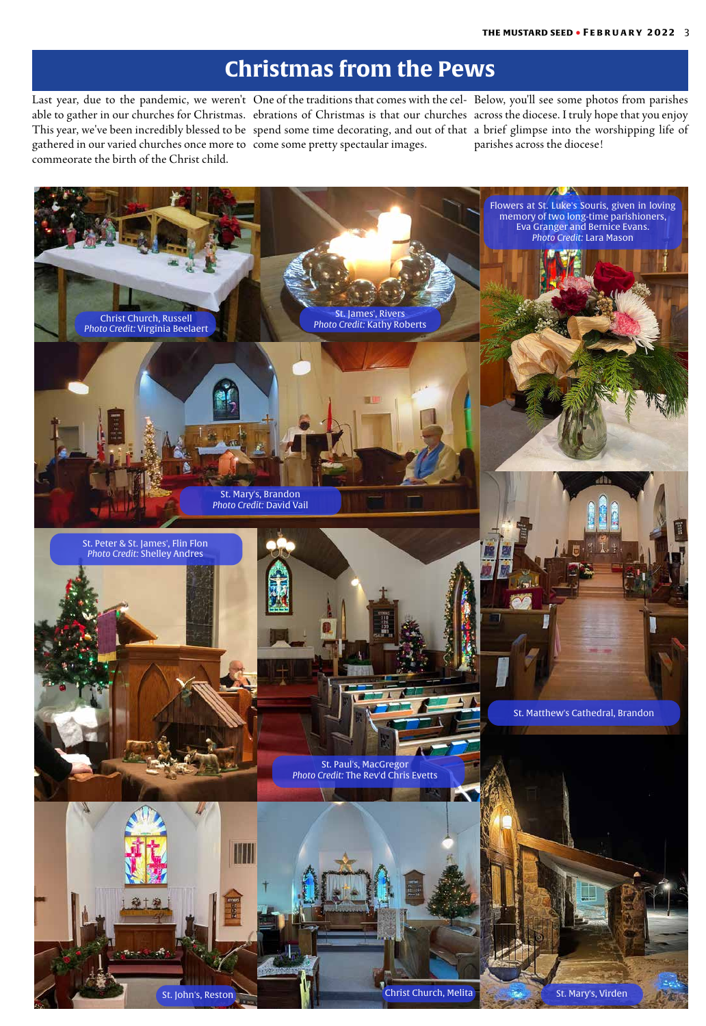# **Christmas from the Pews**

Last year, due to the pandemic, we weren't able to gather in our churches for Christmas. This year, we've been incredibly blessed to be) spend some time decorating, and out of that) a brief glimpse into the worshipping life of gathered in our varied churches once more to come some pretty spectaular images. commeorate the birth of the Christ child.

One of the traditions that comes with the celebrations of Christmas is that our churches

Below, you'll see some photos from parishes across the diocese. I truly hope that you enjoy parishes across the diocese!